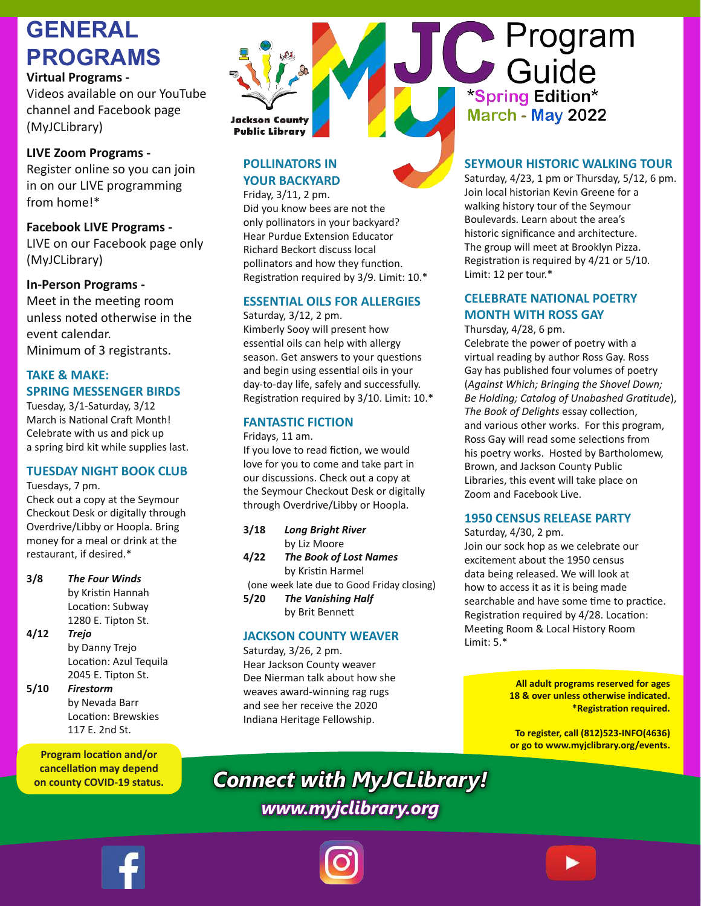# **GENERAL PROGRAMS**

#### **Virtual Programs -**

Videos available on our YouTube channel and Facebook page (MyJCLibrary)

### **LIVE Zoom Programs -**

Register online so you can join in on our LIVE programming from home!\*

#### **Facebook LIVE Programs -** LIVE on our Facebook page only (MyJCLibrary)

**In-Person Programs -**

Meet in the meeting room unless noted otherwise in the event calendar. Minimum of 3 registrants.

**TAKE & MAKE:** 

#### **SPRING MESSENGER BIRDS**

Tuesday, 3/1-Saturday, 3/12 March is National Craft Month! Celebrate with us and pick up a spring bird kit while supplies last.

# **TUESDAY NIGHT BOOK CLUB**

Tuesdays, 7 pm.

Check out a copy at the Seymour Checkout Desk or digitally through Overdrive/Libby or Hoopla. Bring money for a meal or drink at the restaurant, if desired.\*

#### **3/8** *The Four Winds*

by Kristin Hannah Location: Subway 1280 E. Tipton St.

#### **4/12** *Trejo*

by Danny Trejo Location: Azul Tequila 2045 E. Tipton St.

#### **5/10** *Firestorm*

by Nevada Barr Location: Brewskies 117 E. 2nd St.

**Program location and/or cancellation may depend on county COVID-19 status.**

# **Jackson County Public Library**

# **POLLINATORS IN YOUR BACKYARD**

Friday, 3/11, 2 pm. Did you know bees are not the only pollinators in your backyard? Hear Purdue Extension Educator Richard Beckort discuss local pollinators and how they function. Registration required by 3/9. Limit: 10.\*

# **ESSENTIAL OILS FOR ALLERGIES**

Saturday, 3/12, 2 pm. Kimberly Sooy will present how essential oils can help with allergy season. Get answers to your questions and begin using essential oils in your day-to-day life, safely and successfully. Registration required by 3/10. Limit: 10.\*

## **FANTASTIC FICTION**

Fridays, 11 am.

If you love to read fiction, we would love for you to come and take part in our discussions. Check out a copy at the Seymour Checkout Desk or digitally through Overdrive/Libby or Hoopla.

| 3/18 | <b>Long Bright River</b>   |
|------|----------------------------|
|      | by Liz Moore               |
| 4/22 | <b>The Book of Lost No</b> |

**4/22** *The Book of Lost Names* by Kristin Harmel (one week late due to Good Friday closing)

**5/20** *The Vanishing Half* by Brit Bennett

#### **JACKSON COUNTY WEAVER**

Saturday, 3/26, 2 pm. Hear Jackson County weaver Dee Nierman talk about how she weaves award-winning rag rugs and see her receive the 2020 Indiana Heritage Fellowship.



# **SEYMOUR HISTORIC WALKING TOUR**

C Program

\*Spring Edition\* March - May 2022

Saturday, 4/23, 1 pm or Thursday, 5/12, 6 pm. Join local historian Kevin Greene for a walking history tour of the Seymour Boulevards. Learn about the area's historic significance and architecture. The group will meet at Brooklyn Pizza. Registration is required by 4/21 or 5/10. Limit: 12 per tour.\*

## **CELEBRATE NATIONAL POETRY MONTH WITH ROSS GAY**

Thursday, 4/28, 6 pm.

Celebrate the power of poetry with a virtual reading by author Ross Gay. Ross Gay has published four volumes of poetry (*Against Which; Bringing the Shovel Down; Be Holding; Catalog of Unabashed Gratitude*), *The Book of Delights* essay collection, and various other works. For this program, Ross Gay will read some selections from his poetry works. Hosted by Bartholomew, Brown, and Jackson County Public Libraries, this event will take place on Zoom and Facebook Live.

#### **1950 CENSUS RELEASE PARTY**

Saturday, 4/30, 2 pm. Join our sock hop as we celebrate our excitement about the 1950 census data being released. We will look at how to access it as it is being made searchable and have some time to practice. Registration required by 4/28. Location: Meeting Room & Local History Room Limit: 5.\*

> **All adult programs reserved for ages 18 & over unless otherwise indicated. \*Registration required.**

> **To register, call (812)523-INFO(4636) or go to www.myjclibrary.org/events.**

*Connect with MyJCLibrary! www.myjclibrary.org*





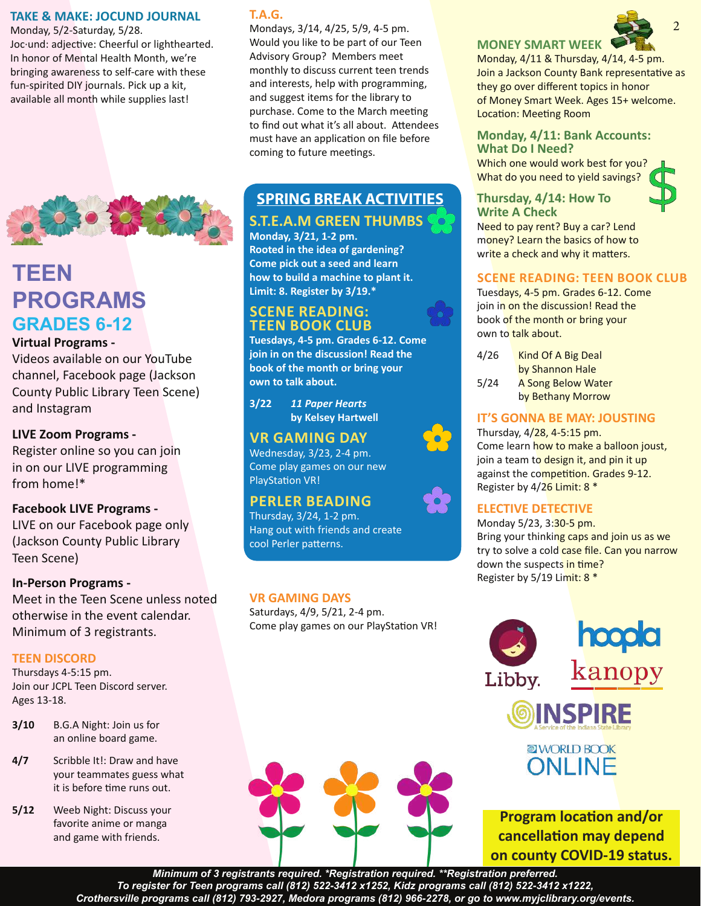#### **TAKE & MAKE: JOCUND JOURNAL**

Monday, 5/2-Saturday, 5/28. Joc·und: adjective: Cheerful or lighthearted. In honor of Mental Health Month, we're bringing awareness to self-care with these fun-spirited DIY journals. Pick up a kit, available all month while supplies last!



# **TEEN PROGRAMS GRADES 6-12**

#### **Virtual Programs -**

Videos available on our YouTube channel, Facebook page (Jackson County Public Library Teen Scene) and Instagram

#### **LIVE Zoom Programs -**

Register online so you can join in on our LIVE programming from home!\*

#### **Facebook LIVE Programs -**

LIVE on our Facebook page only (Jackson County Public Library Teen Scene)

#### **In-Person Programs -**

Meet in the Teen Scene unless noted otherwise in the event calendar. Minimum of 3 registrants.

#### **TEEN DISCORD**

Thursdays 4-5:15 pm. Join our JCPL Teen Discord server. Ages 13-18.

- **3/10** B.G.A Night: Join us for an online board game.
- **4/7** Scribble It!: Draw and have your teammates guess what it is before time runs out.
- **5/12** Weeb Night: Discuss your favorite anime or manga and game with friends.

## **T.A.G.**

Mondays, 3/14, 4/25, 5/9, 4-5 pm. Would you like to be part of our Teen Advisory Group? Members meet monthly to discuss current teen trends and interests, help with programming, and suggest items for the library to purchase. Come to the March meeting to find out what it's all about. Attendees must have an application on file before coming to future meetings.

# **SPRING BREAK ACTIVITIES S.T.E.A.M GREEN THUMBS**

# **Monday, 3/21, 1-2 pm.**

**Rooted in the idea of gardening? Come pick out a seed and learn how to build a machine to plant it. Limit: 8. Register by 3/19.\***

## **SCENE READING: TEEN BOOK CLUB**

**Tuesdays, 4-5 pm. Grades 6-12. Come join in on the discussion! Read the book of the month or bring your own to talk about.** 

**3/22** *11 Paper Hearts*  **by Kelsey Hartwell**

## **VR GAMING DAY**

Wednesday, 3/23, 2-4 pm. Come play games on our new PlayStation VR!

# **PERLER BEADING**

Thursday, 3/24, 1-2 pm. Hang out with friends and create cool Perler patterns.

#### **VR GAMING DAYS**

Saturdays, 4/9, 5/21, 2-4 pm. Come play games on our PlayStation VR!

# **MONEY SMART WEEK**

Monday, 4/11 & Thursday, 4/14, 4-5 pm. Join a Jackson County Bank representative as they go over different topics in honor of Money Smart Week. Ages 15+ welcome. Location: Meeting Room

#### **Monday, 4/11: Bank Accounts: What Do I Need?**

Which one would work best for you? What do you need to yield savings?

#### **Thursday, 4/14: How To Write A Check**



Need to pay rent? Buy a car? Lend money? Learn the basics of how to write a check and why it matters.

#### **SCENE READING: TEEN BOOK CLUB**

Tuesdays, 4-5 pm. Grades 6-12. Come join in on the discussion! Read the book of the month or bring your own to talk about.

| 4/26 | Kind Of A Big Deal        |
|------|---------------------------|
|      | by Shannon Hale           |
| 5/24 | <b>A Song Below Water</b> |
|      | by Bethany Morrow         |

### **IT'S GONNA BE MAY: JOUSTING**

Thursday, 4/28, 4-5:15 pm. Come learn how to make a balloon joust, join a team to design it, and pin it up against the competition. Grades 9-12. Register by 4/26 Limit: 8 \*

## **ELECTIVE DETECTIVE**

Monday 5/23, 3:30-5 pm. Bring your thinking caps and join us as we try to solve a cold case file. Can you narrow down the suspects in time? Register by 5/19 Limit: 8 \*



**Program location and/or cancellation may depend on county COVID-19 status.**

*Minimum of 3 registrants required. \*Registration required. \*\*Registration preferred. To register for Teen programs call (812) 522-3412 x1252, Kidz programs call (812) 522-3412 x1222, Crothersville programs call (812) 793-2927, Medora programs (812) 966-2278, or go to www.myjclibrary.org/events.*





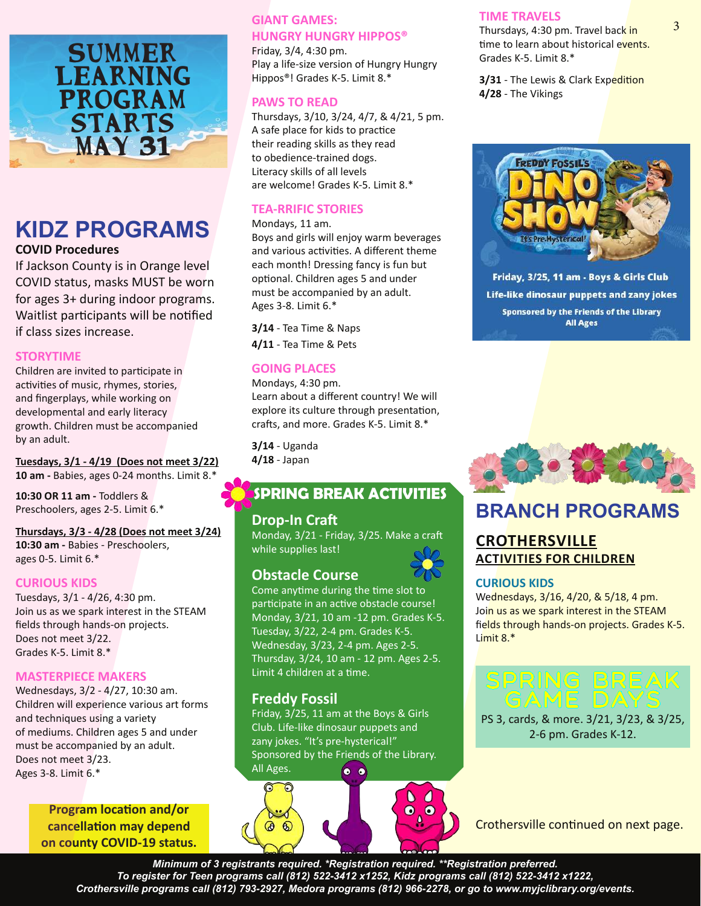

# **KIDZ PROGRAMS**

**COVID Procedures**

If Jackson County is in Orange level COVID status, masks MUST be worn for ages 3+ during indoor programs. Waitlist participants will be notified if class sizes increase.

#### **STORYTIME**

Children are invited to participate in activities of music, rhymes, stories, and fingerplays, while working on developmental and early literacy growth. Children must be accompanied by an adult.

**Tuesdays, 3/1 - 4/19 (Does not meet 3/22) 10 am -** Babies, ages 0-24 months. Limit 8.\*

**10:30 OR 11 am -** Toddlers & Preschoolers, ages 2-5. Limit 6.\*

#### **Thursdays, 3/3 - 4/28 (Does not meet 3/24) 10:30 am -** Babies - Preschoolers, ages 0-5. Limit 6.\*

#### **CURIOUS KIDS**

Tuesdays, 3/1 - 4/26, 4:30 pm. Join us as we spark interest in the STEAM fields through hands-on projects. Does not meet 3/22. Grades K-5. Limit 8.\*

#### **MASTERPIECE MAKERS**

Wednesdays, 3/2 - 4/27, 10:30 am. Children will experience various art forms and techniques using a variety of mediums. Children ages 5 and under must be accompanied by an adult. Does not meet 3/23. Ages 3-8. Limit 6.\*

> **Program location and/or cancellation may depend on county COVID-19 status.**

## **GIANT GAMES: HUNGRY HUNGRY HIPPOS®**

Friday, 3/4, 4:30 pm. Play a life-size version of Hungry Hungry Hippos®! Grades K-5. Limit 8.\*

#### **PAWS TO READ**

Thursdays, 3/10, 3/24, 4/7, & 4/21, 5 pm. A safe place for kids to practice their reading skills as they read to obedience-trained dogs. Literacy skills of all levels are welcome! Grades K-5. Limit 8.\*

#### **TEA-RRIFIC STORIES**

#### Mondays, 11 am.

Boys and girls will enjoy warm beverages and various activities. A different theme each month! Dressing fancy is fun but optional. Children ages 5 and under must be accompanied by an adult. Ages 3-8. Limit 6.\*

**3/14** - Tea Time & Naps **4/11** - Tea Time & Pets

#### **GOING PLACES**

Mondays, 4:30 pm. Learn about a different country! We will explore its culture through presentation, crafts, and more. Grades K-5. Limit 8.\*

**3/14** - Uganda **4/18** - Japan

# **SPRING BREAK ACTIVITIES**

#### **Drop-In Craft**

Monday, 3/21 - Friday, 3/25. Make a craft while supplies last!

# **Obstacle Course**

Come anytime during the time slot to participate in an active obstacle course! Monday, 3/21, 10 am -12 pm. Grades K-5. Tuesday, 3/22, 2-4 pm. Grades K-5. Wednesday, 3/23, 2-4 pm. Ages 2-5. Thursday, 3/24, 10 am - 12 pm. Ages 2-5. Limit 4 children at a time.

## **Freddy Fossil**

Friday, 3/25, 11 am at the Boys & Girls Club. Life-like dinosaur puppets and zany jokes. "It's pre-hysterical!" Sponsored by the Friends of the Library. All Ages.  $\bullet$   $\bullet$ 



#### **TIME TRAVELS**

Thursdays, 4:30 pm. Travel back in time to learn about historical events. Grades K-5. Limit 8.\*

**3/31** - The Lewis & Clark Expedition **4/28** - The Vikings



Friday, 3/25, 11 am - Boys & Girls Club Life-like dinosaur puppets and zany jokes Sponsored by the Friends of the Library **All Ages** 



# **BRANCH PROGRAMS**

## **CROTHERSVILLE ACTIVITIES FOR CHILDREN**

#### **CURIOUS KIDS**

Wednesdays, 3/16, 4/20, & 5/18, 4 pm. Join us as we spark interest in the STEAM fields through hands-on projects. Grades K-5. Limit 8.\*

# SPRING BREAK<br>GAME DAYS

PS 3, cards, & more. 3/21, 3/23, & 3/25, 2-6 pm. Grades K-12.

Crothersville continued on next page.

*Minimum of 3 registrants required. \*Registration required. \*\*Registration preferred. To register for Teen programs call (812) 522-3412 x1252, Kidz programs call (812) 522-3412 x1222, Crothersville programs call (812) 793-2927, Medora programs (812) 966-2278, or go to www.myjclibrary.org/events.*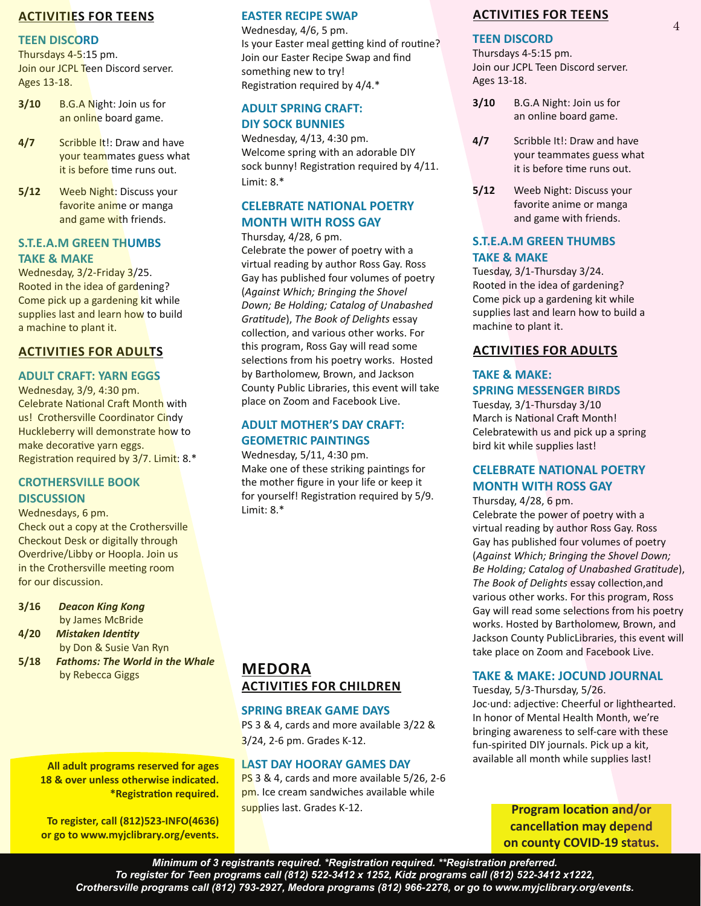#### **ACTIVITIES FOR TEENS**

#### **TEEN DISCORD**

Thursdays 4-5:15 pm. Join our JCPL Teen Discord server. Ages 13-18.

- **3/10** B.G.A Night: Join us for an online board game.
- **4/7** Scribble It!: Draw and have your teammates guess what it is before time runs out.
- **5/12** Weeb Night: Discuss your favorite anime or manga and game with friends.

#### **S.T.E.A.M GREEN THUMBS TAKE & MAKE**

Wednesday, 3/2-Friday 3/25. Rooted in the idea of gardening? Come pick up a gardening kit while supplies last and learn how to build a machine to plant it.

#### **ACTIVITIES FOR ADULTS**

#### **ADULT CRAFT: YARN EGGS**

Wednesday, 3/9, 4:30 pm. Celebrate National Craft Month with us! Crothersville Coordinator Cindy Huckleberry will demonstrate how to make decorative yarn eggs. Registration required by 3/7. Limit: 8.\*

#### **CROTHERSVILLE BOOK DISCUSSION**

Wednesdays, 6 pm. Check out a copy at the Crothersville Checkout Desk or digitally through Overdrive/Libby or Hoopla. Join us in the Crothersville meeting room for our discussion.

- **3/16** *Deacon King Kong* by James McBride
- **4/20** *Mistaken Identity*
- by Don & Susie Van Ryn
- **5/18** *Fathoms: The World in the Whale* by Rebecca Giggs

**All adult programs reserved for ages 18 & over unless otherwise indicated. \*Registration required.**

**To register, call (812)523-INFO(4636) or go to www.myjclibrary.org/events.**

#### **EASTER RECIPE SWAP**

Wednesday, 4/6, 5 pm. Is your Easter meal getting kind of routine? Join our Easter Recipe Swap and find something new to try! Registration required by 4/4.\*

#### **ADULT SPRING CRAFT: DIY SOCK BUNNIES**

Wednesday, 4/13, 4:30 pm. Welcome spring with an adorable DIY sock bunny! Registration required by 4/11. Limit: 8.\*

## **CELEBRATE NATIONAL POETRY MONTH WITH ROSS GAY**

Thursday, 4/28, 6 pm.

Celebrate the power of poetry with a virtual reading by author Ross Gay. Ross Gay has published four volumes of poetry (*Against Which; Bringing the Shovel Down; Be Holding; Catalog of Unabashed Gratitude*), *The Book of Delights* essay collection, and various other works. For this program, Ross Gay will read some selections from his poetry works. Hosted by Bartholomew, Brown, and Jackson County Public Libraries, this event will take place on Zoom and Facebook Live.

#### **ADULT MOTHER'S DAY CRAFT: GEOMETRIC PAINTINGS**

Wednesday, 5/11, 4:30 pm. Make one of these striking paintings for the mother figure in your life or keep it for yourself! Registration required by 5/9. Limit: 8.\*

#### **ACTIVITIES FOR TEENS**

4

#### **TEEN DISCORD**

Thursdays 4-5:15 pm. Join our JCPL Teen Discord server. Ages 13-18.

- **3/10** B.G.A Night: Join us for an online board game.
- **4/7** Scribble It!: Draw and have your teammates guess what it is before time runs out.
- **5/12** Weeb Night: Discuss your favorite anime or manga and game with friends.

#### **S.T.E.A.M GREEN THUMBS TAKE & MAKE**

Tuesday, 3/1-Thursday 3/24. Rooted in the idea of gardening? Come pick up a gardening kit while supplies last and learn how to build a machine to plant it.

#### **ACTIVITIES FOR ADULTS**

## **TAKE & MAKE: SPRING MESSENGER BIRDS**

Tuesday, 3/1-Thursday 3/10 March is National Craft Month! Celebratewith us and pick up a spring bird kit while supplies last!

#### **CELEBRATE NATIONAL POETRY MONTH WITH ROSS GAY**

Thursday, 4/28, 6 pm. Celebrate the power of poetry with a virtual reading by author Ross Gay. Ross Gay has published four volumes of poetry (*Against Which; Bringing the Shovel Down; Be Holding; Catalog of Unabashed Gratitude*), *The Book of Delights* essay collection,and various other works. For this program, Ross Gay will read some selections from his poetry works. Hosted by Bartholomew, Brown, and Jackson County PublicLibraries, this event will take place on Zoom and Facebook Live.

#### **TAKE & MAKE: JOCUND JOURNAL**

Tuesday, 5/3-Thursday, 5/26. Joc·und: adjective: Cheerful or lighthearted. In honor of Mental Health Month, we're bringing awareness to self-care with these fun-spirited DIY journals. Pick up a kit, available all month while supplies last!

> **Program location and/or cancellation may depend on county COVID-19 status.**

# **MEDORA ACTIVITIES FOR CHILDREN**

#### **SPRING BREAK GAME DAYS**

PS 3 & 4, cards and more available 3/22 & 3/24, 2-6 pm. Grades K-12.

#### **LAST DAY HOORAY GAMES DAY**

PS 3 & 4, cards and more available 5/26, 2-6 pm. Ice cream sandwiches available while supplies last. Grades K-12.

*Minimum of 3 registrants required. \*Registration required. \*\*Registration preferred. To register for Teen programs call (812) 522-3412 x 1252, Kidz programs call (812) 522-3412 x1222, Crothersville programs call (812) 793-2927, Medora programs (812) 966-2278, or go to www.myjclibrary.org/events.*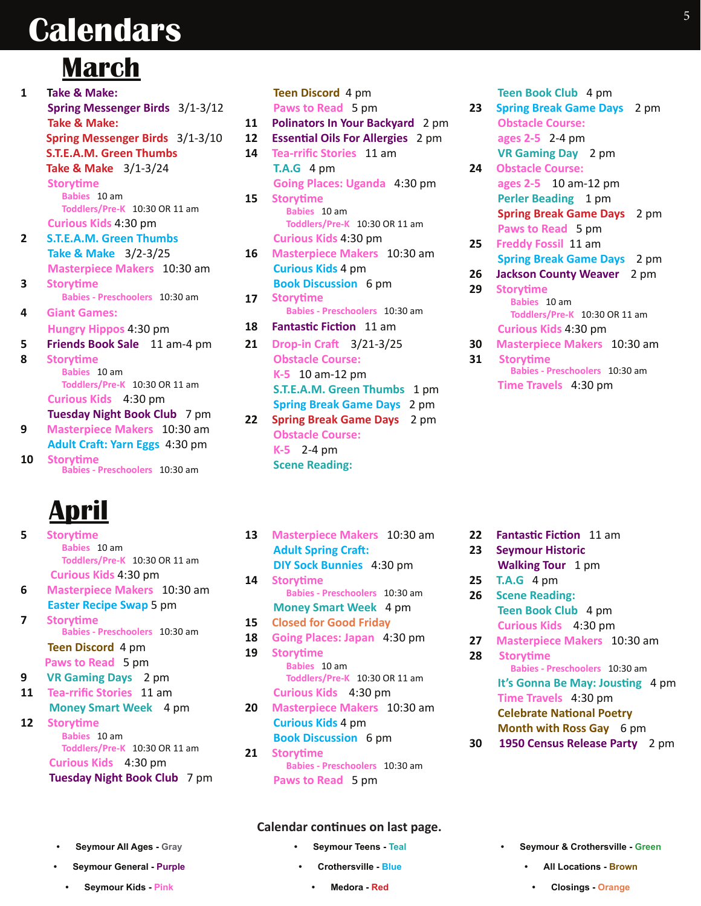# **Calendars** <sup>5</sup>

# **March**

| $\mathbf{1}$ | Take & Make:                    |
|--------------|---------------------------------|
|              | Spring Messenger Birds 3/1-3/12 |
|              | <b>Take &amp; Make:</b>         |
|              | Spring Messenger Birds 3/1-3/10 |
|              | <b>S.T.E.A.M. Green Thumbs</b>  |
|              | Take & Make 3/1-3/24            |
|              | <b>Storytime</b>                |
|              | Babies 10 am                    |
|              | Toddlers/Pre-K 10:30 OR 11 am   |
|              | Curious Kids 4:30 pm            |
| 2            | <b>S.T.E.A.M. Green Thumbs</b>  |
|              | Take & Make 3/2-3/25            |
|              | Masterpiece Makers 10:30 am     |
| 3            | <b>Storytime</b>                |
|              | Babies - Preschoolers 10:30 am  |
| 4            | <b>Giant Games:</b>             |
|              | Hungry Hippos 4:30 pm           |
| 5            | Friends Book Sale 11 am-4 pm    |
| 8            | <b>Storytime</b>                |
|              | Babies 10 am                    |
|              | Toddlers/Pre-K 10:30 OR 11 am   |
|              | Curious Kids 4:30 pm            |
|              | Tuesday Night Book Club 7 pm    |
| 9            | Masterpiece Makers 10:30 am     |
|              | Adult Craft: Yarn Eggs 4:30 pm  |
| 10           | <b>Storytime</b>                |
|              | Babies - Preschoolers 10:30 am  |
|              |                                 |

# **April**

| 5  | <b>Storytime</b>                   |
|----|------------------------------------|
|    | Babies 10 am                       |
|    | Toddlers/Pre-K 10:30 OR 11 am      |
|    | <b>Curious Kids 4:30 pm</b>        |
| 6  | <b>Masterpiece Makers</b> 10:30 am |
|    | <b>Easter Recipe Swap 5 pm</b>     |
| 7  | <b>Storytime</b>                   |
|    | Babies - Preschoolers 10:30 am     |
|    | Teen Discord 4 pm                  |
|    | Paws to Read 5 pm                  |
| 9  | <b>VR Gaming Days</b> 2 pm         |
| 11 | <b>Tea-rrific Stories</b> 11 am    |
|    | <b>Money Smart Week</b> 4 pm       |
| 12 | <b>Storytime</b>                   |
|    | Babies 10 am                       |
|    | Toddlers/Pre-K 10:30 OR 11 am      |
|    | Curious Kids 4:30 pm               |
|    | Tuesday Night Book Club 7 pm       |
|    |                                    |

|    | Teen Discord 4 pm                        |
|----|------------------------------------------|
|    | Paws to Read 5 pm                        |
| 11 | Polinators In Your Backyard 2 pm         |
| 12 | <b>Essential Oils For Allergies</b> 2 pm |
| 14 | <b>Tea-rrific Stories</b> 11 am          |
|    | <b>T.A.G</b> 4 pm                        |
|    | Going Places: Uganda 4:30 pm             |
| 15 | <b>Storytime</b>                         |
|    | Babies 10 am                             |
|    | Toddlers/Pre-K 10:30 OR 11 am            |
|    | <b>Curious Kids 4:30 pm</b>              |
| 16 | Masterpiece Makers 10:30 am              |
|    | <b>Curious Kids 4 pm</b>                 |
|    | <b>Book Discussion</b> 6 pm              |
| 17 | <b>Storytime</b>                         |
|    | Babies - Preschoolers 10:30 am           |
| 18 | <b>Fantastic Fiction</b> 11 am           |
| 21 | Drop-in Craft 3/21-3/25                  |
|    | <b>Obstacle Course:</b>                  |
|    | K-5 10 am-12 pm                          |
|    | S.T.E.A.M. Green Thumbs 1 pm             |
|    | <b>Spring Break Game Days 2 pm</b>       |
| 22 | Spring Break Game Days 2 pm              |
|    | <b>Obstacle Course:</b>                  |
|    | $K-5$ 2-4 pm                             |
|    | <b>Scene Reading:</b>                    |

| 13 | <b>Masterpiece Makers</b> 10:30 am<br><b>Adult Spring Craft:</b>        |
|----|-------------------------------------------------------------------------|
|    | DIY Sock Bunnies 4:30 pm                                                |
| 14 | <b>Storytime</b>                                                        |
|    | Babies - Preschoolers 10:30 am                                          |
|    | <b>Money Smart Week</b> 4 pm                                            |
| 15 | <b>Closed for Good Friday</b>                                           |
| 18 | Going Places: Japan 4:30 pm                                             |
| 19 | <b>Storytime</b>                                                        |
|    | Babies 10 am<br>Toddlers/Pre-K 10:30 OR 11 am                           |
|    | Curious Kids 4:30 pm                                                    |
| 20 | <b>Masterpiece Makers 10:30 am</b>                                      |
|    | <b>Curious Kids 4 pm</b>                                                |
|    | <b>Book Discussion</b> 6 pm                                             |
| 21 | <b>Storytime</b><br>Babies - Preschoolers 10:30 am<br>Paws to Read 5 pm |
|    |                                                                         |

 **Teen Book Club** 4 pm

- **23 Spring Break Game Days** 2 pm  **Obstacle Course: ages 2-5** 2-4 pm  **VR Gaming Day** 2 pm **24 Obstacle Course: ages 2-5** 10 am-12 pm **Perler Beading** 1 pm  **Spring Break Game Days** 2 pm  **Paws to Read** 5 pm **25 Freddy Fossil** 11 am  **Spring Break Game Days** 2 pm **26 Jackson County Weaver** 2 pm
- **29 Storytime Babies** 10 am **Toddlers/Pre-K** 10:30 OR 11 am  **Curious Kids** 4:30 pm
- **30 Masterpiece Makers** 10:30 am **31 Storytime**
	- **Babies Preschoolers** 10:30 am  **Time Travels** 4:30 pm

- **22 Fantastic Fiction** 11 am
- **23 Seymour Historic Walking Tour** 1 pm
- **25 T.A.G** 4 pm
- **26 Scene Reading: Teen Book Club** 4 pm  **Curious Kids** 4:30 pm
- **27 Masterpiece Makers** 10:30 am **28 Storytime Babies - Preschoolers** 10:30 am  **It's Gonna Be May: Jousting** 4 pm  **Time Travels** 4:30 pm  **Celebrate National Poetry** 
	- **Month with Ross Gay** 6 pm
- **30 1950 Census Release Party** 2 pm

- **• Seymour All Ages Gray**
- **Seymour General Purple**
- **Seymour Kids Pink**
- **Calendar continues on last page.**
	- **• Seymour Teens Teal**

**Crothersville - Blue • Medora - Red**

- **• Seymour & Crothersville Green** 
	- **All Locations Brown**
	- **• Closings Orange**